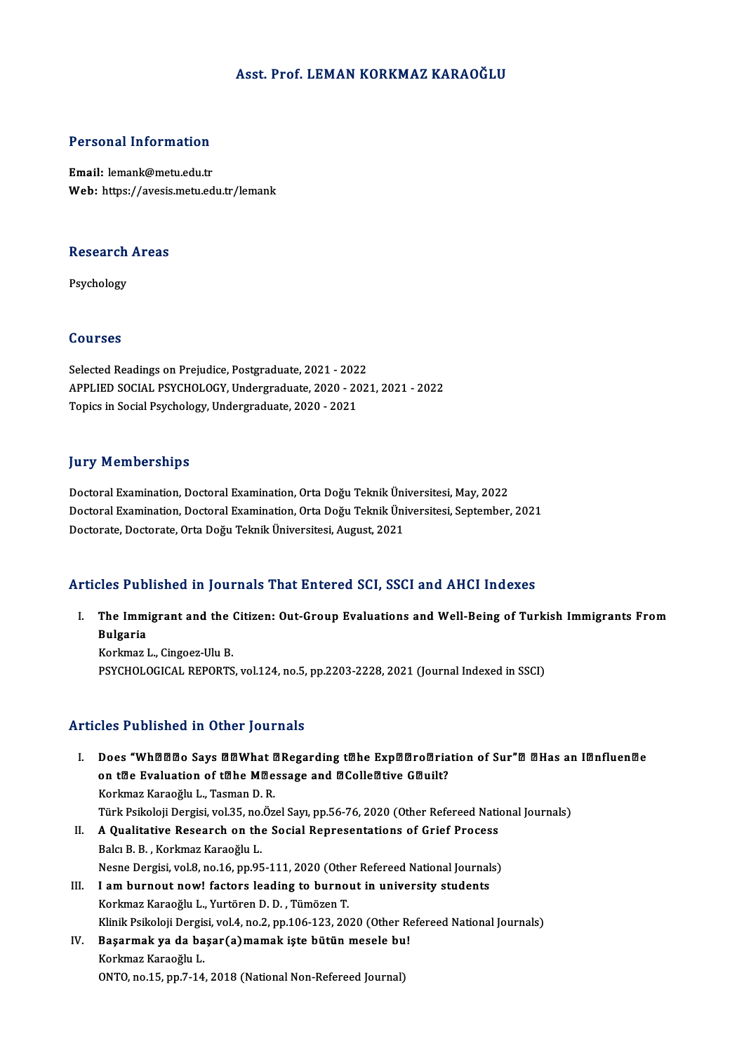### Asst. Prof. LEMAN KORKMAZ KARAOĞLU

### Personal Information

Email: lemank@metu.edu.tr Web: https://avesis.metu.edu.tr/lemank

## research<br>Research Areas Re<mark>search</mark><br>Psychology

Psychology<br>Courses

Selected Readings on Prejudice, Postgraduate, 2021 - 2022<br>Selected Readings on Prejudice, Postgraduate, 2021 - 2022<br>APPLIED SOCIAL PSYCHOLOCY, Undergraduate, 2020 - 202 APPLIED SOCIAL PSYCHOLOGY, Undergraduate, 2020 - 2021, 2021 - 2022<br>Topics in Social Psychology, Undergraduate, 2020 - 2021 Selected Readings on Prejudice, Postgraduate, 2021 - 202<br>APPLIED SOCIAL PSYCHOLOGY, Undergraduate, 2020 - 20<br>Topics in Social Psychology, Undergraduate, 2020 - 2021

#### **Jury Memberships**

Doctoral Examination, Doctoral Examination, Orta Doğu Teknik Üniversitesi, May, 2022 Jury Tremberempe<br>Doctoral Examination, Doctoral Examination, Orta Doğu Teknik Üniversitesi, May, 2022<br>Doctoral Examination, Doctoral Examination, Orta Doğu Teknik Üniversitesi, September, 2021<br>Doctorate Doctorate Orta Doğu Doctoral Examination, Doctoral Examination, Orta Doğu Teknik Üni<br>Doctoral Examination, Doctoral Examination, Orta Doğu Teknik Üni<br>Doctorate, Doctorate, Orta Doğu Teknik Üniversitesi, August, 2021

# Doctorate, Doctorate, Orta Doğu Teknik Üniversitesi, August, 2021<br>Articles Published in Journals That Entered SCI, SSCI and AHCI Indexes

rticles Published in Journals That Entered SCI, SSCI and AHCI Indexes<br>I. The Immigrant and the Citizen: Out-Group Evaluations and Well-Being of Turkish Immigrants From<br>Rulgaria The Immi<br>Bulgaria<br>Korlmoza The Immigrant and the (<br>Bulgaria<br>Korkmaz L., Cingoez-Ulu B.<br>BSYCHOLOCICAL BEBORTS

Bulgaria<br>Korkmaz L., Cingoez-Ulu B.<br>PSYCHOLOGICAL REPORTS, vol.124, no.5, pp.2203-2228, 2021 (Journal Indexed in SSCI)

#### Articles Published in Other Journals

rticles Published in Other Journals<br>I. Does "Wh¤¤¤o Says ¤¤What ¤Regarding t¤he Exp¤¤ro¤riation of Sur"¤ ¤Has an I¤nfluen¤e roo Tubrishou in Strof Journals<br>Does "Whമaao Says aawhat aRegarding tahe Expaaroaria<br>on tae Evaluation of tahe Maessage and aColleative Gauilt?<br>Korkwaz Karaoğlu J. Tasman D. B Does "Wh囹圄回o Says 圍圍What 『<br>on t圍e Evaluation of t圍he M圍e<br>Korkmaz Karaoğlu L., Tasman D. R.<br>Türk Beikeleii Dergisi vel 35 ne Öz on t<mark>®e Evaluation of t®he M®essage and ®Colle®tive G®uilt?</mark><br>Korkmaz Karaoğlu L., Tasman D. R.<br>Türk Psikoloji Dergisi, vol.35, no.Özel Sayı, pp.56-76, 2020 (Other Refereed National Journals)<br>A Qualitative Besearsh on the S Korkmaz Karaoğlu L., Tasman D. R.<br>Türk Psikoloji Dergisi, vol.35, no.Özel Sayı, pp.56-76, 2020 (Other Refereed Nations<br>II. A Qualitative Research on the Social Representations of Grief Process Türk Psikoloji Dergisi, vol.35, no.<br>A Qualitative Research on the<br>Balcı B. B. , Korkmaz Karaoğlu L.<br>Nesne Dergisi vol.2, no.16, nn.05 A Qualitative Research on the Social Representations of Grief Process<br>Balcı B. B. , Korkmaz Karaoğlu L.<br>Nesne Dergisi, vol.8, no.16, pp.95-111, 2020 (Other Refereed National Journals)<br>Lam bunnaut nawl factors loading to bu Balcı B. B. , Korkmaz Karaoğlu L.<br>Nesne Dergisi, vol.8, no.16, pp.95-111, 2020 (Other Refereed National Journal<br>III. I am burnout now! factors leading to burnout in university students<br>Korkmaz Karaoğlu I. Vurtären D. D. Tü Nesne Dergisi, vol.8, no.16, pp.95-111, 2020 (Othe<br>I am burnout now! factors leading to burno<br>Korkmaz Karaoğlu L., Yurtören D. D. , Tümözen T.<br>Klinik Peikeleji Dergisi vol.4, no.2, nn.106,122, 20. I am burnout now! factors leading to burnout in university students<br>Korkmaz Karaoğlu L., Yurtören D. D. , Tümözen T.<br>Klinik Psikoloji Dergisi, vol.4, no.2, pp.106-123, 2020 (Other Refereed National Journals)<br>Besermak va de Korkmaz Karaoğlu L., Yurtören D. D. , Tümözen T.<br>Klinik Psikoloji Dergisi, vol.4, no.2, pp.106-123, 2020 (Other Re<br>IV. Başarmak ya da başar(a)mamak işte bütün mesele bu!<br>Korkmaz Karaoğlu I Klinik Psikoloji Dergis<br><mark>Başarmak ya da ba</mark><br>Korkmaz Karaoğlu L.<br>ONTO no 15 nn 7 14 Başarmak ya da başar(a)mamak işte bütün mesele bu!<br>Korkmaz Karaoğlu L.<br>ONTO, no.15, pp.7-14, 2018 (National Non-Refereed Journal)